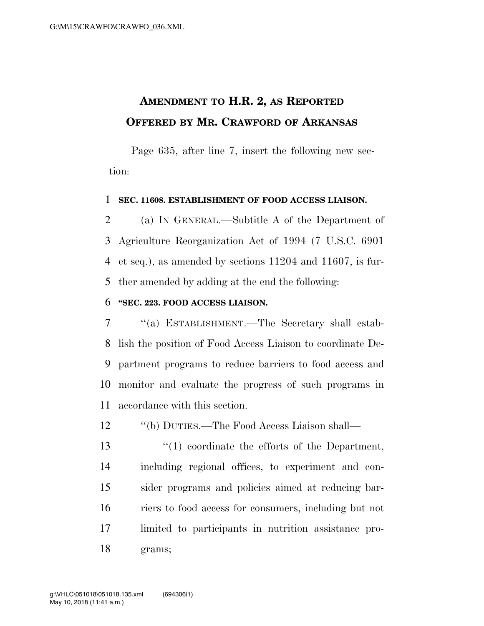## **AMENDMENT TO H.R. 2, AS REPORTED OFFERED BY MR. CRAWFORD OF ARKANSAS**

Page 635, after line 7, insert the following new section:

## **SEC. 11608. ESTABLISHMENT OF FOOD ACCESS LIAISON.**

 (a) IN GENERAL.—Subtitle A of the Department of Agriculture Reorganization Act of 1994 (7 U.S.C. 6901 et seq.), as amended by sections 11204 and 11607, is fur-ther amended by adding at the end the following:

## **''SEC. 223. FOOD ACCESS LIAISON.**

 ''(a) ESTABLISHMENT.—The Secretary shall estab- lish the position of Food Access Liaison to coordinate De- partment programs to reduce barriers to food access and monitor and evaluate the progress of such programs in accordance with this section.

''(b) DUTIES.—The Food Access Liaison shall—

13 ''(1) coordinate the efforts of the Department, including regional offices, to experiment and con- sider programs and policies aimed at reducing bar- riers to food access for consumers, including but not limited to participants in nutrition assistance pro-grams;